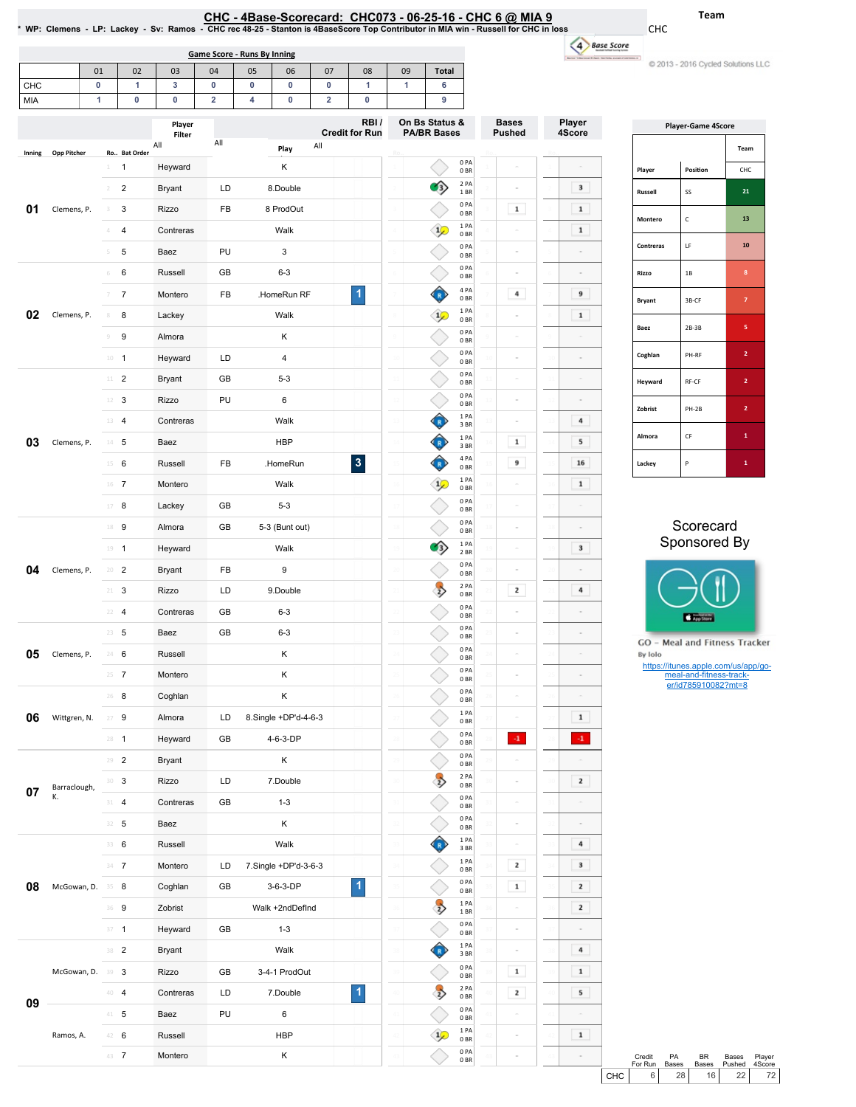| CHC - 4Base-Scorecard: CHC073 - 06-25-16 - CHC 6 @ MIA 9                                                                              |
|---------------------------------------------------------------------------------------------------------------------------------------|
| * WP: Clemens - LP: Lackey - Sv: Ramos - CHC rec 48-25 - Stanton is 4BaseScore Top Contributor in MIA win - Russell for CHC in loss - |

CHC

u) C 2013 - 2016 Cycled Solutions LLC

|        | <b>Game Score - Runs By Inning</b> |                 |                         |                  |     |    |                      |     | 4 Base Score                  |    |                                      |                         |                               |                  |
|--------|------------------------------------|-----------------|-------------------------|------------------|-----|----|----------------------|-----|-------------------------------|----|--------------------------------------|-------------------------|-------------------------------|------------------|
|        |                                    | 01              | 02                      | 03               | 04  | 05 | 06                   | 07  | 08                            | 09 | <b>Total</b>                         |                         |                               |                  |
| CHC    |                                    | 0               | 1                       | 3                | 0   | 0  | 0                    | 0   | 1                             | 1  | 6                                    |                         |                               |                  |
| MIA    |                                    | 1               | 0                       | 0                | 2   | 4  | 0                    | 2   | $\pmb{0}$                     |    | 9                                    |                         |                               |                  |
|        |                                    |                 |                         | Player<br>Filter |     |    |                      |     | RBI/<br><b>Credit for Run</b> |    | On Bs Status &<br><b>PA/BR Bases</b> |                         | <b>Bases</b><br><b>Pushed</b> | Player<br>4Score |
| Inning | <b>Opp Pitcher</b>                 |                 | Ro Bat Order            | All              | All |    | Play                 | All |                               |    |                                      |                         |                               |                  |
|        |                                    | $\perp$         | 1                       | Heyward          |     |    | Κ                    |     |                               |    |                                      | 0PA<br>0 <sub>BR</sub>  |                               |                  |
|        |                                    | $\overline{2}$  | $\overline{\mathbf{c}}$ | <b>Bryant</b>    | LD  |    | 8.Double             |     |                               |    |                                      | 2 PA<br>1 BR            |                               | 3                |
| 01     | Clemens, P.                        | 3               | 3                       | <b>Rizzo</b>     | FB  |    | 8 ProdOut            |     |                               |    |                                      | 0PA<br>0 <sub>BR</sub>  | $\mathbf 1$                   | $\mathbf 1$      |
|        |                                    | 4               | $\overline{\mathbf{4}}$ | Contreras        |     |    | Walk                 |     |                               |    | $\frac{1}{2}$                        | 1PA<br>0 <sub>BR</sub>  |                               | $\mathbf 1$      |
|        |                                    | 5               | 5                       | Baez             | PU  |    | 3                    |     |                               |    |                                      | 0PA<br>0 <sub>BR</sub>  |                               |                  |
|        |                                    | $\,$ $\,$ $\,$  | 6                       | Russell          | GB  |    | $6 - 3$              |     |                               |    |                                      | 0PA<br>0 <sub>BR</sub>  |                               |                  |
|        |                                    | 7               | $\overline{7}$          | Montero          | FB  |    | .HomeRun RF          |     | 1                             |    |                                      | 4 PA<br>0 <sub>BR</sub> | 4                             | 9                |
| 02     | Clemens, P.                        | 8               | 8                       | Lackey           |     |    | Walk                 |     |                               |    | $\mathbf{1}$                         | 1 PA<br>0 <sub>BR</sub> |                               | $\mathbf 1$      |
|        |                                    | $\mathcal G$    | 9                       | Almora           |     |    | Κ                    |     |                               |    |                                      | 0PA<br>0 <sub>BR</sub>  |                               |                  |
|        |                                    | $10\,$          | $\mathbf{1}$            | Heyward          | LD  |    | $\sqrt{4}$           |     |                               |    |                                      | 0PA<br>0 <sub>BR</sub>  |                               |                  |
|        |                                    | 11              | $\overline{c}$          | <b>Bryant</b>    | GB  |    | $5 - 3$              |     |                               |    |                                      | 0PA<br>0 <sub>BR</sub>  |                               |                  |
|        |                                    | 12              | 3                       | Rizzo            | PU  |    | 6                    |     |                               |    |                                      | 0PA<br>0 <sub>BR</sub>  |                               |                  |
|        |                                    | 13              | 4                       | Contreras        |     |    | Walk                 |     |                               |    |                                      | 1PA<br>3 BR             |                               | 4                |
| 03     | Clemens, P.                        | $14 -$          | 5                       | Baez             |     |    | <b>HBP</b>           |     |                               |    |                                      | 1 PA<br>3BR             | $\mathbf 1$                   | 5                |
|        |                                    | 15              | 6                       | Russell          | FB  |    | .HomeRun             |     | $\overline{\mathbf{3}}$       |    |                                      | 4 PA<br>0 <sub>BR</sub> | 9                             | 16               |
|        |                                    | 16 7            |                         | Montero          |     |    | Walk                 |     |                               |    | $\frac{1}{2}$                        | 1PA<br>0 <sub>BR</sub>  |                               | $\mathbf 1$      |
|        |                                    | 17              | 8                       | Lackey           | GB  |    | $5 - 3$              |     |                               |    |                                      | 0PA<br>0 <sub>BR</sub>  |                               | $\sim$           |
|        |                                    | 18 9            |                         | Almora           | GB  |    | 5-3 (Bunt out)       |     |                               |    |                                      | 0PA<br>0 <sub>BR</sub>  |                               |                  |
|        |                                    | $19 - 1$        |                         | Heyward          |     |    | Walk                 |     |                               |    | $\ddot{\mathbf{3}}$                  | 1PA<br>2 BR             |                               | 3                |
| 04     | Clemens, P.                        | $20 - 2$        |                         | Bryant           | FB  |    | 9                    |     |                               |    |                                      | 0PA<br>0 <sub>BR</sub>  |                               |                  |
|        |                                    | $21 -$          | 3                       | <b>Rizzo</b>     | LD  |    | 9.Double             |     |                               |    | $\overline{z}$                       | 2 PA<br>0 <sub>BR</sub> | $\mathbf{z}$                  | 4                |
|        |                                    | $22 - 4$        |                         | Contreras        | GB  |    | $6 - 3$              |     |                               |    |                                      | 0PA<br>0 <sub>BR</sub>  |                               |                  |
|        |                                    | $23 - 5$        |                         | Baez             | GB  |    | $6 - 3$              |     |                               |    |                                      | 0PA<br>0 <sub>BR</sub>  |                               |                  |
| 05     | Clemens, P.                        | 24 6            |                         | Russell          |     |    | Κ                    |     |                               |    |                                      | 0PA<br>0 <sub>BR</sub>  |                               |                  |
|        |                                    | $25 \t 7$       |                         | Montero          |     |    | Κ                    |     |                               |    |                                      | 0PA<br>0B               |                               |                  |
|        |                                    | $26$ 8          |                         | Coghlan          |     |    | $\sf K$              |     |                               |    |                                      | 0PA<br>0 <sub>BR</sub>  |                               |                  |
| 06     | Wittgren, N.                       | $27 - 9$        |                         | Almora           | LD  |    | 8.Single +DP'd-4-6-3 |     |                               |    |                                      | 1 P <sub>A</sub>        |                               | $\mathbf{1}$     |
|        |                                    | $28 - 1$        |                         | Heyward          | GB  |    | 4-6-3-DP             |     |                               |    |                                      | 0 <sub>BR</sub><br>0PA  | $\mathbf{-1}$                 | $-1$             |
|        |                                    | $29 - 2$        |                         | Bryant           |     |    | Κ                    |     |                               |    |                                      | 0 <sub>BR</sub><br>0PA  |                               |                  |
|        |                                    | 30 <sup>3</sup> |                         | Rizzo            | LD  |    | 7.Double             |     |                               |    | $\overrightarrow{2}$                 | 0BR<br>2 PA             |                               | $\mathbf{z}$     |
| 07     | Barraclough,<br>К.                 | $31 - 4$        |                         | Contreras        | GB  |    | $1 - 3$              |     |                               |    |                                      | 0 <sub>BR</sub><br>0PA  |                               |                  |
|        |                                    | $32 - 5$        |                         | Baez             |     |    | Κ                    |     |                               |    |                                      | 0 <sub>BR</sub><br>0PA  |                               | $\sim$           |
|        |                                    | 33 6            |                         | Russell          |     |    | Walk                 |     |                               |    |                                      | 0 <sub>BR</sub><br>1PA  |                               | 4                |
|        |                                    | $34 - 7$        |                         | Montero          | LD  |    | 7.Single +DP'd-3-6-3 |     |                               |    |                                      | 3BR<br>1PA              | $\mathbf{z}$                  | 3                |
| 08     | McGowan, D.                        | 35 8            |                         | Coghlan          | GB  |    | 3-6-3-DP             |     | $\overline{1}$                |    |                                      | 0 <sub>BR</sub><br>0PA  | $\mathbf 1$                   | $\mathbf{z}$     |
|        |                                    | 36 9            |                         | Zobrist          |     |    | Walk +2ndDefInd      |     |                               |    | $\overline{z}$                       | 0 <sub>BR</sub><br>1PA  |                               | $\mathbf{z}$     |
|        |                                    | $37 - 1$        |                         | Heyward          | GB  |    | $1 - 3$              |     |                               |    |                                      | 1 BR<br>0PA             |                               | $\sim$           |
|        |                                    | 38 2            |                         | Bryant           |     |    | Walk                 |     |                               |    |                                      | 0 <sub>BR</sub><br>1PA  |                               | 4                |
|        | McGowan, D.                        | 39 3            |                         | Rizzo            | GB  |    | 3-4-1 ProdOut        |     |                               |    |                                      | 3BR<br>0PA              | $\mathbf 1$                   | $\mathbf 1$      |
|        |                                    | $40-4$          |                         | Contreras        | LD  |    | 7.Double             |     | $\overline{\mathbf{1}}$       |    | $\overline{\mathbf{z}}$              | 0 <sub>BR</sub><br>2PA  | $\mathbf{z}$                  | 5                |
| 09     |                                    | $41 - 5$        |                         | Baez             | PU  |    | 6                    |     |                               |    |                                      | 0 <sub>BR</sub><br>0PA  |                               |                  |
|        | Ramos, A.                          | 42 6            |                         | Russell          |     |    | <b>HBP</b>           |     |                               |    | $\frac{1}{2}$                        | 0BR<br>1PA              |                               | $\mathbf 1$      |

43 7 Montero K

42 43

0PA 0BR

42 43

43

| <b>Player-Game 4Score</b> |          |                |  |  |  |  |  |  |  |  |
|---------------------------|----------|----------------|--|--|--|--|--|--|--|--|
|                           |          | Team           |  |  |  |  |  |  |  |  |
| Player                    | Position | CHC            |  |  |  |  |  |  |  |  |
| Russell                   | SS       | 21             |  |  |  |  |  |  |  |  |
| Montero                   | C        | 13             |  |  |  |  |  |  |  |  |
| Contreras                 | LF       | 10             |  |  |  |  |  |  |  |  |
| Rizzo                     | 1B       | 8              |  |  |  |  |  |  |  |  |
| <b>Bryant</b>             | 3B-CF    | 7              |  |  |  |  |  |  |  |  |
| Baez                      | $2B-3B$  | 5              |  |  |  |  |  |  |  |  |
| Coghlan                   | PH-RF    | $\overline{2}$ |  |  |  |  |  |  |  |  |
| Heyward                   | RF-CF    | $\overline{2}$ |  |  |  |  |  |  |  |  |
| Zobrist                   | PH-2B    | $\overline{2}$ |  |  |  |  |  |  |  |  |
| Almora                    | CF       | 1              |  |  |  |  |  |  |  |  |
| Lackey                    | P        | 1              |  |  |  |  |  |  |  |  |

## **Scorecard** Sponsored By



**GO** - Meal and Fitness Tracker By Iolo

https://itunes.apple.com/us/app/go-meal-and-fitness-track-er/id785910082?mt=8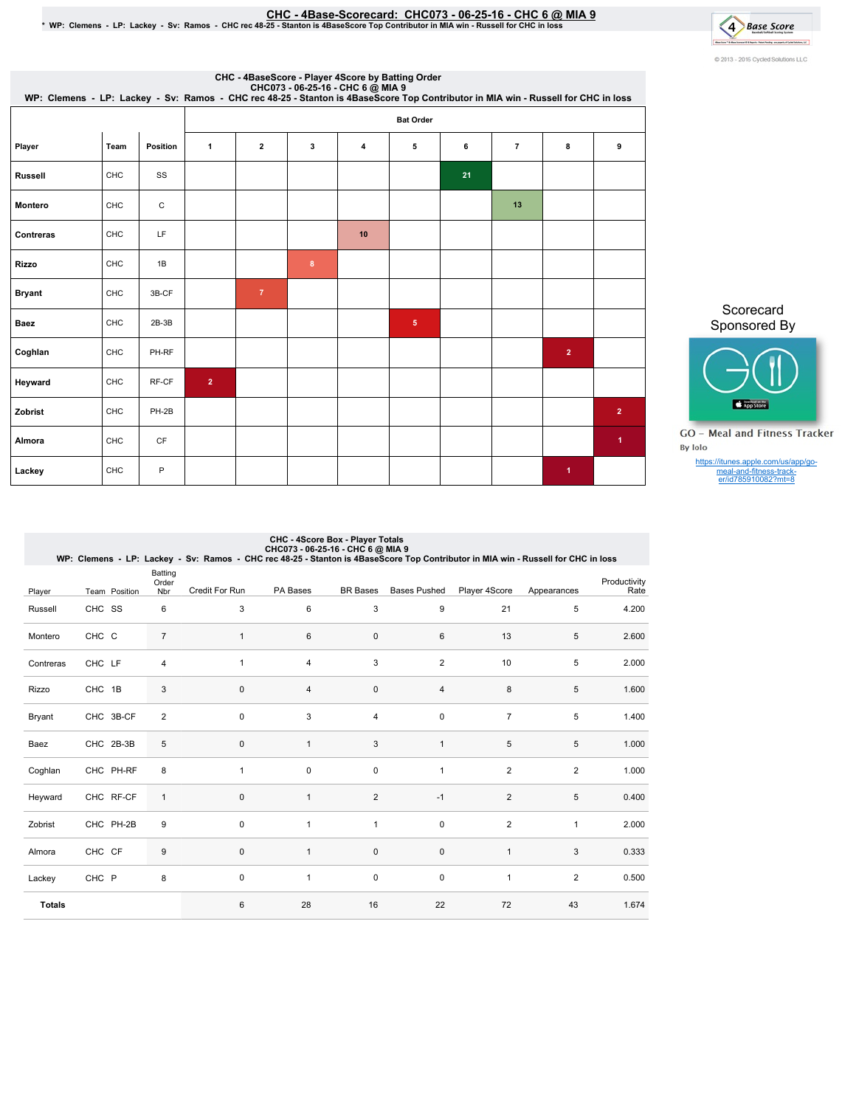# <u>CHC - 4Base-Scorecard: CHC073 - 06-25-16 - CHC 6 @ MIA 9</u><br>WP: Clemens - LP: Lackey - Sv: Ramos - CHC rec 48-25 - Stanton is 4BaseScore Top Contributor in MIA win - Russell for CHC in loss \*

4 Base Score lant fastlatig myselvirjaklainu ol C 2013 - 2016 Cycled Solutions LLC

|                | CHC - 4BaseScore - Player 4Score by Batting Order<br>CHC073 - 06-25-16 - CHC 6 @ MIA 9<br>WP: Clemens - LP: Lackey - Sv: Ramos - CHC rec 48-25 - Stanton is 4BaseScore Top Contributor in MIA win - Russell for CHC in loss |             |                  |                |                  |    |            |    |                |                |                      |  |
|----------------|-----------------------------------------------------------------------------------------------------------------------------------------------------------------------------------------------------------------------------|-------------|------------------|----------------|------------------|----|------------|----|----------------|----------------|----------------------|--|
|                |                                                                                                                                                                                                                             |             | <b>Bat Order</b> |                |                  |    |            |    |                |                |                      |  |
| Player         | Team                                                                                                                                                                                                                        | Position    | $\mathbf{1}$     | $\mathbf{2}$   | 3                | 4  | 5          | 6  | $\overline{7}$ | 8              | 9                    |  |
| <b>Russell</b> | CHC                                                                                                                                                                                                                         | SS          |                  |                |                  |    |            | 21 |                |                |                      |  |
| Montero        | CHC                                                                                                                                                                                                                         | $\mathsf C$ |                  |                |                  |    |            |    | 13             |                |                      |  |
| Contreras      | CHC                                                                                                                                                                                                                         | LF          |                  |                |                  | 10 |            |    |                |                |                      |  |
| <b>Rizzo</b>   | CHC                                                                                                                                                                                                                         | 1B          |                  |                | $\boldsymbol{8}$ |    |            |    |                |                |                      |  |
| <b>Bryant</b>  | CHC                                                                                                                                                                                                                         | 3B-CF       |                  | $\overline{7}$ |                  |    |            |    |                |                |                      |  |
| <b>Baez</b>    | CHC                                                                                                                                                                                                                         | $2B-3B$     |                  |                |                  |    | $\sqrt{5}$ |    |                |                |                      |  |
| Coghlan        | CHC                                                                                                                                                                                                                         | PH-RF       |                  |                |                  |    |            |    |                | $\overline{2}$ |                      |  |
| Heyward        | CHC                                                                                                                                                                                                                         | RF-CF       | $\overline{2}$   |                |                  |    |            |    |                |                |                      |  |
| Zobrist        | CHC                                                                                                                                                                                                                         | PH-2B       |                  |                |                  |    |            |    |                |                | $\overline{2}$       |  |
| Almora         | CHC                                                                                                                                                                                                                         | <b>CF</b>   |                  |                |                  |    |            |    |                |                | $\blacktriangleleft$ |  |
| Lackey         | CHC                                                                                                                                                                                                                         | P           |                  |                |                  |    |            |    |                | 1              |                      |  |

Scorecard Sponsored By



**GO** - Meal and Fitness Tracker By Iolo

https://itunes.apple.com/us/app/go-meal-and-fitness-track-er/id785910082?mt=8

|               | CHC - 4Score Box - Player Totals<br>CHC073 - 06-25-16 - CHC 6 @ MIA 9<br>WP: Clemens - LP: Lackey - Sv: Ramos - CHC rec 48-25 - Stanton is 4BaseScore Top Contributor in MIA win - Russell for CHC in loss |                         |                |                |                 |                     |                |                |                      |  |  |  |  |
|---------------|------------------------------------------------------------------------------------------------------------------------------------------------------------------------------------------------------------|-------------------------|----------------|----------------|-----------------|---------------------|----------------|----------------|----------------------|--|--|--|--|
| Player        | Team Position                                                                                                                                                                                              | Batting<br>Order<br>Nbr | Credit For Run | PA Bases       | <b>BR</b> Bases | <b>Bases Pushed</b> | Player 4Score  | Appearances    | Productivity<br>Rate |  |  |  |  |
| Russell       | CHC SS                                                                                                                                                                                                     | 6                       | 3              | 6              | 3               | 9                   | 21             | 5              | 4.200                |  |  |  |  |
| Montero       | CHC C                                                                                                                                                                                                      | $\overline{7}$          | $\mathbf{1}$   | 6              | $\mathbf 0$     | 6                   | 13             | 5              | 2.600                |  |  |  |  |
| Contreras     | CHC LF                                                                                                                                                                                                     | $\overline{4}$          | $\overline{1}$ | $\overline{4}$ | 3               | $\overline{2}$      | 10             | 5              | 2.000                |  |  |  |  |
| Rizzo         | CHC 1B                                                                                                                                                                                                     | 3                       | $\mathbf 0$    | $\overline{4}$ | $\mathbf 0$     | 4                   | 8              | 5              | 1.600                |  |  |  |  |
| Bryant        | CHC 3B-CF                                                                                                                                                                                                  | $\overline{2}$          | 0              | 3              | $\overline{4}$  | 0                   | $\overline{7}$ | 5              | 1.400                |  |  |  |  |
| Baez          | CHC 2B-3B                                                                                                                                                                                                  | 5                       | $\mathbf 0$    | $\mathbf{1}$   | 3               | $\mathbf{1}$        | 5              | 5              | 1.000                |  |  |  |  |
| Coghlan       | CHC PH-RF                                                                                                                                                                                                  | 8                       | $\overline{1}$ | 0              | $\mathbf 0$     | 1                   | $\overline{2}$ | $\overline{2}$ | 1.000                |  |  |  |  |
| Heyward       | CHC RF-CF                                                                                                                                                                                                  | $\mathbf{1}$            | $\Omega$       | $\mathbf{1}$   | $\overline{2}$  | $-1$                | 2              | 5              | 0.400                |  |  |  |  |
| Zobrist       | CHC PH-2B                                                                                                                                                                                                  | 9                       | 0              | $\mathbf{1}$   | $\mathbf{1}$    | 0                   | $\overline{2}$ | $\mathbf{1}$   | 2.000                |  |  |  |  |
| Almora        | CHC CF                                                                                                                                                                                                     | 9                       | $\Omega$       | $\mathbf{1}$   | $\mathbf{0}$    | 0                   | $\mathbf{1}$   | 3              | 0.333                |  |  |  |  |
| Lackey        | CHC P                                                                                                                                                                                                      | 8                       | $\Omega$       | $\mathbf{1}$   | $\mathbf 0$     | 0                   | $\mathbf{1}$   | $\overline{2}$ | 0.500                |  |  |  |  |
| <b>Totals</b> |                                                                                                                                                                                                            |                         | 6              | 28             | 16              | 22                  | 72             | 43             | 1.674                |  |  |  |  |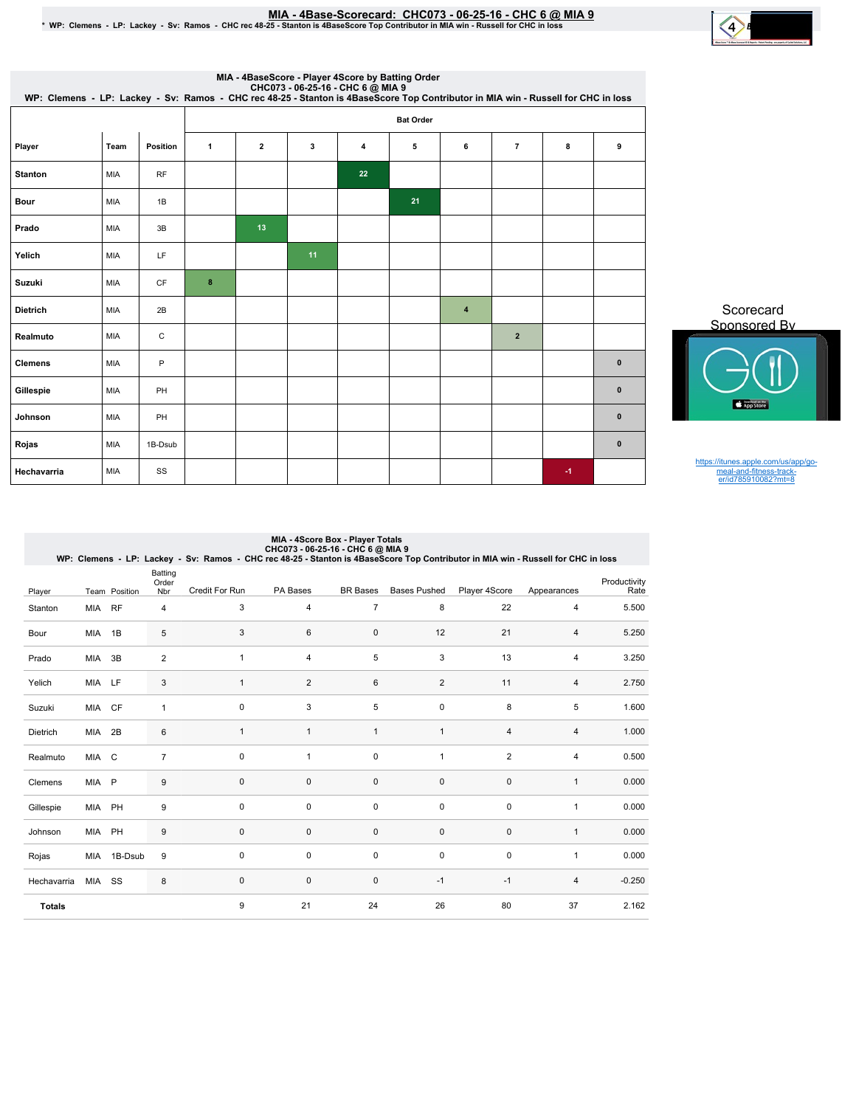## MIA - 4Base-Scorecard: CHC073 - 06-25-16 - CHC 6 @ MIA 9

|  | * WP: Clemens - LP: Lackey - Sv: Ramos - CHC rec 48-25 - Stanton is 4BaseScore Top Contributor in MIA win - Russell for CHC in loss |  |
|--|-------------------------------------------------------------------------------------------------------------------------------------|--|



| MIA - 4BaseScore - Player 4Score by Batting Order<br>CHC073 - 06-25-16 - CHC 6 @ MIA 9<br>WP: Clemens - LP: Lackey - Sv: Ramos - CHC rec 48-25 - Stanton is 4BaseScore Top Contributor in MIA win - Russell for CHC in loss |      |              |                  |                         |    |    |    |           |                |      |           |  |
|-----------------------------------------------------------------------------------------------------------------------------------------------------------------------------------------------------------------------------|------|--------------|------------------|-------------------------|----|----|----|-----------|----------------|------|-----------|--|
|                                                                                                                                                                                                                             |      |              | <b>Bat Order</b> |                         |    |    |    |           |                |      |           |  |
| Player                                                                                                                                                                                                                      | Team | Position     | $\mathbf{1}$     | $\overline{\mathbf{2}}$ | 3  | 4  | 5  | 6         | $\overline{7}$ | 8    | 9         |  |
| <b>Stanton</b>                                                                                                                                                                                                              | MIA  | RF           |                  |                         |    | 22 |    |           |                |      |           |  |
| Bour                                                                                                                                                                                                                        | MIA  | 1B           |                  |                         |    |    | 21 |           |                |      |           |  |
| Prado                                                                                                                                                                                                                       | MIA  | 3B           |                  | 13                      |    |    |    |           |                |      |           |  |
| Yelich                                                                                                                                                                                                                      | MIA  | LF           |                  |                         | 11 |    |    |           |                |      |           |  |
| Suzuki                                                                                                                                                                                                                      | MIA  | CF           | $\bf8$           |                         |    |    |    |           |                |      |           |  |
| <b>Dietrich</b>                                                                                                                                                                                                             | MIA  | 2B           |                  |                         |    |    |    | $\pmb{4}$ |                |      |           |  |
| Realmuto                                                                                                                                                                                                                    | MIA  | $\mathsf C$  |                  |                         |    |    |    |           | $\overline{2}$ |      |           |  |
| <b>Clemens</b>                                                                                                                                                                                                              | MIA  | $\mathsf{P}$ |                  |                         |    |    |    |           |                |      | $\pmb{0}$ |  |
| Gillespie                                                                                                                                                                                                                   | MIA  | PH           |                  |                         |    |    |    |           |                |      | $\pmb{0}$ |  |
| Johnson                                                                                                                                                                                                                     | MIA  | PH           |                  |                         |    |    |    |           |                |      | $\pmb{0}$ |  |
| Rojas                                                                                                                                                                                                                       | MIA  | 1B-Dsub      |                  |                         |    |    |    |           |                |      | $\pmb{0}$ |  |
| Hechavarria                                                                                                                                                                                                                 | MIA  | SS           |                  |                         |    |    |    |           |                | $-1$ |           |  |

Scorecard Sponsored By

https://itunes.apple.com/us/app/go-meal-and-fitness-track-er/id785910082?mt=8

|               | MIA - 4Score Box - Player Totals<br>CHC073 - 06-25-16 - CHC 6 @ MIA 9<br>WP: Clemens - LP: Lackey - Sv: Ramos - CHC rec 48-25 - Stanton is 4BaseScore Top Contributor in MIA win - Russell for CHC in loss |               |                         |                |                |                 |                     |                |                |                      |  |  |
|---------------|------------------------------------------------------------------------------------------------------------------------------------------------------------------------------------------------------------|---------------|-------------------------|----------------|----------------|-----------------|---------------------|----------------|----------------|----------------------|--|--|
| Player        |                                                                                                                                                                                                            | Team Position | Batting<br>Order<br>Nbr | Credit For Run | PA Bases       | <b>BR</b> Bases | <b>Bases Pushed</b> | Player 4Score  | Appearances    | Productivity<br>Rate |  |  |
| Stanton       | <b>MIA</b>                                                                                                                                                                                                 | <b>RF</b>     | 4                       | 3              | 4              | $\overline{7}$  | 8                   | 22             | $\overline{4}$ | 5.500                |  |  |
| Bour          | MIA                                                                                                                                                                                                        | 1B            | 5                       | 3              | 6              | $\mathbf 0$     | 12                  | 21             | $\overline{4}$ | 5.250                |  |  |
| Prado         | <b>MIA</b>                                                                                                                                                                                                 | 3B            | $\overline{2}$          | $\mathbf{1}$   | $\overline{4}$ | 5               | 3                   | 13             | $\overline{4}$ | 3.250                |  |  |
| Yelich        | <b>MIA</b>                                                                                                                                                                                                 | LF            | 3                       | $\mathbf{1}$   | $\overline{2}$ | 6               | $\overline{2}$      | 11             | $\overline{4}$ | 2.750                |  |  |
| Suzuki        | MIA                                                                                                                                                                                                        | CF            | 1                       | $\mathbf 0$    | 3              | 5               | $\mathbf 0$         | 8              | 5              | 1.600                |  |  |
| Dietrich      | MIA                                                                                                                                                                                                        | 2B            | 6                       | $\mathbf{1}$   | $\mathbf{1}$   | $\mathbf{1}$    | $\mathbf{1}$        | 4              | $\overline{4}$ | 1.000                |  |  |
| Realmuto      | MIA C                                                                                                                                                                                                      |               | $\overline{7}$          | $\mathbf 0$    | $\mathbf{1}$   | 0               | $\mathbf{1}$        | $\overline{2}$ | 4              | 0.500                |  |  |
| Clemens       | MIA P                                                                                                                                                                                                      |               | 9                       | $\mathbf 0$    | $\mathbf 0$    | $\mathbf 0$     | $\mathbf 0$         | $\mathbf 0$    | $\mathbf{1}$   | 0.000                |  |  |
| Gillespie     | MIA                                                                                                                                                                                                        | PH            | 9                       | $\mathbf 0$    | 0              | $\mathbf 0$     | $\mathbf 0$         | 0              | $\mathbf{1}$   | 0.000                |  |  |
| Johnson       | MIA                                                                                                                                                                                                        | PH            | 9                       | $\mathbf 0$    | $\mathbf 0$    | $\mathbf 0$     | $\mathbf 0$         | $\mathbf 0$    | $\mathbf{1}$   | 0.000                |  |  |
| Rojas         | MIA                                                                                                                                                                                                        | 1B-Dsub       | 9                       | $\mathbf 0$    | $\mathbf 0$    | $\mathbf 0$     | $\mathbf 0$         | $\mathbf 0$    | 1              | 0.000                |  |  |
| Hechavarria   | MIA                                                                                                                                                                                                        | SS            | 8                       | $\mathbf 0$    | $\Omega$       | $\Omega$        | $-1$                | $-1$           | $\overline{4}$ | $-0.250$             |  |  |
| <b>Totals</b> |                                                                                                                                                                                                            |               |                         | 9              | 21             | 24              | 26                  | 80             | 37             | 2.162                |  |  |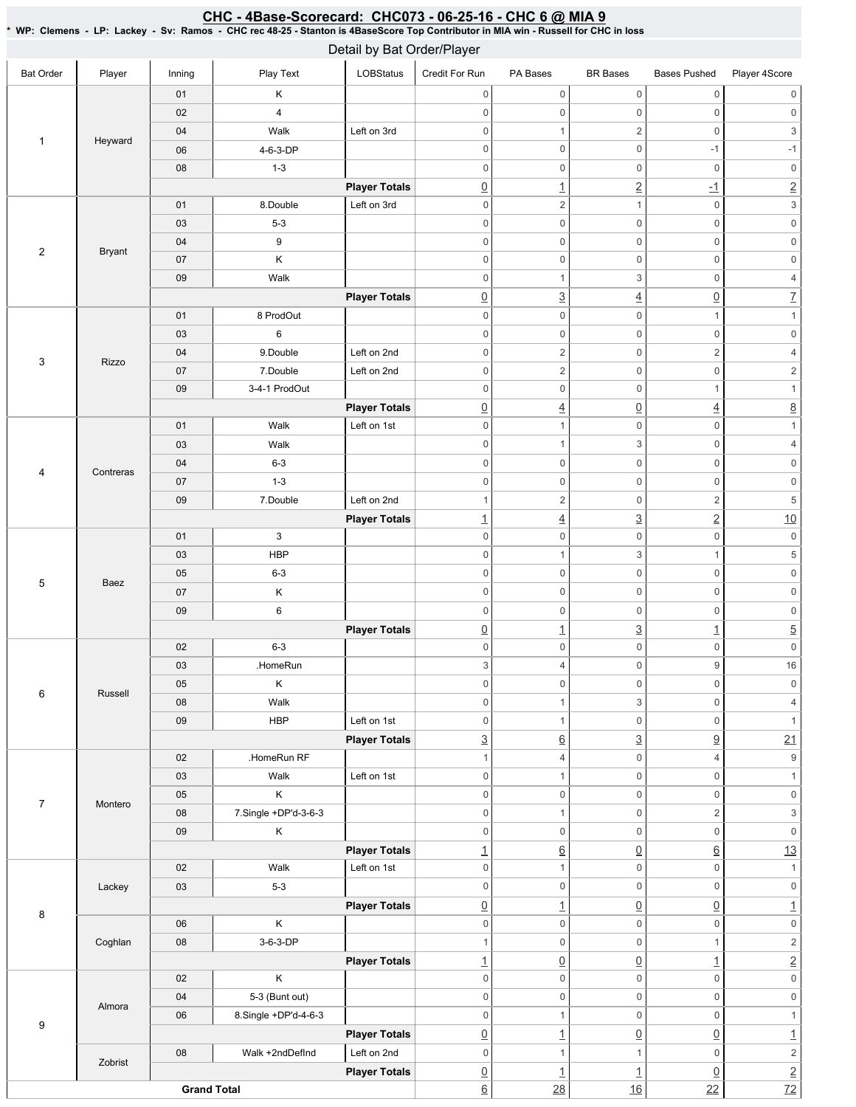#### <u>CHC - 4Base-Scorecard: CHC073 - 06-25-16 - CHC 6 @ MIA 9</u> \*WP:Clemens-LP:Lackey-Sv:Ramos-CHCrec48-25-Stantonis4BaseScoreTopContributorinMIAwin-RussellforCHCinloss

|                  | Detail by Bat Order/Player |                    |                                        |                                     |                                    |                                        |                                 |                                |                                        |  |  |  |
|------------------|----------------------------|--------------------|----------------------------------------|-------------------------------------|------------------------------------|----------------------------------------|---------------------------------|--------------------------------|----------------------------------------|--|--|--|
| <b>Bat Order</b> | Player                     | Inning             | Play Text                              | LOBStatus                           | Credit For Run                     | PA Bases                               | <b>BR</b> Bases                 | <b>Bases Pushed</b>            | Player 4Score                          |  |  |  |
|                  |                            | 01                 | Κ                                      |                                     | $\mathbb O$                        | $\mathsf{O}\xspace$                    | $\mathsf{O}\xspace$             | $\mathsf{O}\xspace$            | $\mathsf 0$                            |  |  |  |
|                  |                            | 02                 | $\overline{4}$                         |                                     | $\mathbf 0$                        | $\mathsf{O}\xspace$                    | $\mathsf 0$                     | $\mathsf{O}\xspace$            | $\,0\,$                                |  |  |  |
|                  |                            | 04                 | Walk                                   | Left on 3rd                         | $\bf 0$                            | $\mathbf{1}$                           | $\sqrt{2}$                      | $\boldsymbol{0}$               | 3                                      |  |  |  |
| $\mathbf{1}$     | Heyward                    | 06                 | 4-6-3-DP                               |                                     | $\mathbf 0$                        | $\mathsf{O}\xspace$                    | $\mathsf 0$                     | $-1$                           | $-1$                                   |  |  |  |
|                  |                            | 08                 | $1 - 3$                                |                                     | $\bf 0$                            | $\mathsf{O}\xspace$                    | $\mathsf 0$                     | $\mathbf 0$                    | $\mathsf{O}\xspace$                    |  |  |  |
|                  |                            |                    |                                        | <b>Player Totals</b>                | $\underline{0}$                    | $\overline{1}$                         | $\overline{2}$                  | $\overline{-1}$                | $\overline{2}$                         |  |  |  |
|                  |                            | 01                 | 8.Double                               | Left on 3rd                         | $\mathbf 0$                        | $\overline{2}$                         | $\mathbf{1}$                    | $\mathbf 0$                    | $\ensuremath{\mathsf{3}}$              |  |  |  |
|                  |                            | 03                 | $5 - 3$                                |                                     | $\mathbf 0$                        | $\mathsf{O}\xspace$                    | $\mathsf 0$                     | $\mathsf{O}\xspace$            | $\mathsf 0$                            |  |  |  |
|                  |                            | 04                 | 9                                      |                                     | $\mathbf 0$                        | $\mathsf{O}\xspace$                    | $\mathsf 0$                     | $\mathsf{O}\xspace$            | $\mathsf{O}\xspace$                    |  |  |  |
| $\sqrt{2}$       | <b>Bryant</b>              | 07                 | Κ                                      |                                     | $\boldsymbol{0}$                   | $\mathsf{O}\xspace$                    | $\mathsf 0$                     | $\mathsf{O}\xspace$            | $\mathsf 0$                            |  |  |  |
|                  |                            | 09                 | Walk                                   |                                     | $\mathbf 0$                        | $\mathbf{1}$                           | 3                               | $\mathbf 0$                    | $\sqrt{4}$                             |  |  |  |
|                  |                            |                    |                                        | <b>Player Totals</b>                | $\underline{0}$                    | $\underline{3}$                        | $\overline{4}$                  | $\underline{0}$                | $\overline{1}$                         |  |  |  |
|                  |                            | 01                 | 8 ProdOut                              |                                     | $\mathbf 0$                        | $\mathsf{O}\xspace$                    | $\mathsf 0$                     | $\mathbf{1}$                   | $\mathbf{1}$                           |  |  |  |
|                  |                            | 03                 | $\,6$                                  |                                     | $\boldsymbol{0}$                   | $\mathsf{O}\xspace$                    | $\mathsf 0$                     | $\mathsf 0$                    | $\mathsf{O}\xspace$                    |  |  |  |
| 3                | <b>Rizzo</b>               | 04                 | 9.Double                               | Left on 2nd                         | $\boldsymbol{0}$                   | $\overline{2}$                         | $\mathsf 0$                     | $\overline{2}$                 | $\sqrt{4}$                             |  |  |  |
|                  |                            | 07                 | 7.Double                               | Left on 2nd                         | $\mathbf 0$                        | $\overline{c}$                         | $\mathsf 0$                     | $\mathsf{O}\xspace$            | $\sqrt{2}$                             |  |  |  |
|                  |                            | 09                 | 3-4-1 ProdOut                          |                                     | $\mathbf 0$                        | $\mathsf{O}\xspace$                    | $\mathsf 0$                     | $\mathbf{1}$                   | $\mathbf{1}$                           |  |  |  |
|                  |                            |                    |                                        | <b>Player Totals</b>                | $\underline{0}$                    | $\overline{4}$                         | $\underline{0}$                 | $\underline{4}$                | $\underline{8}$                        |  |  |  |
|                  |                            | 01                 | Walk                                   | Left on 1st                         | $\boldsymbol{0}$                   | $\mathbf{1}$                           | $\mathsf 0$                     | $\mathsf 0$                    | $\mathbf{1}$                           |  |  |  |
|                  |                            | 03                 | Walk                                   |                                     | $\mathbf 0$                        | $\mathbf{1}$                           | 3                               | $\mathsf 0$                    | $\sqrt{4}$                             |  |  |  |
| 4                | Contreras                  | 04                 | $6 - 3$                                |                                     | $\mathbf 0$                        | $\mathsf{O}\xspace$                    | $\mathsf 0$                     | $\mathbf 0$                    | $\mathbf 0$                            |  |  |  |
|                  |                            | 07                 | $1 - 3$                                |                                     | $\mathbf 0$                        | $\mathsf{O}\xspace$                    | $\mathsf 0$                     | $\mathsf{O}\xspace$            | $\mathsf{O}\xspace$                    |  |  |  |
|                  |                            | 09                 | 7.Double                               | Left on 2nd                         | $\overline{1}$                     | $\overline{c}$                         | $\mathsf 0$                     | $\sqrt{2}$                     | $\,$ 5 $\,$                            |  |  |  |
|                  |                            |                    |                                        | <b>Player Totals</b>                | $\overline{1}$                     | $\overline{4}$                         | $\overline{3}$                  | $\underline{2}$                | 10                                     |  |  |  |
|                  |                            | 01                 | 3                                      |                                     | $\mathbf 0$                        | $\mathsf{O}\xspace$                    | $\mathsf{O}\xspace$             | $\mathbb O$                    | $\mathsf{0}$                           |  |  |  |
|                  |                            | 03                 | <b>HBP</b>                             |                                     | $\mathbf 0$                        | $\mathbf{1}$                           | 3                               | $\mathbf{1}$                   | $\,$ 5 $\,$                            |  |  |  |
| 5                | Baez                       | 05                 | $6 - 3$                                |                                     | $\boldsymbol{0}$                   | $\mathsf{O}\xspace$                    | $\mathsf 0$                     | $\mathsf{O}\xspace$            | $\mathsf{O}\xspace$                    |  |  |  |
|                  |                            | 07                 | Κ                                      |                                     | $\boldsymbol{0}$                   | $\mathsf{O}\xspace$                    | 0                               | $\boldsymbol{0}$               | $\mathbf 0$                            |  |  |  |
|                  |                            | 09                 | 6                                      |                                     | $\boldsymbol{0}$                   | $\mathsf{O}\xspace$                    | $\mathsf 0$                     | $\mathsf 0$                    | $\mathsf{O}\xspace$                    |  |  |  |
|                  |                            |                    |                                        | <b>Player Totals</b>                | $\underline{0}$                    | $\overline{1}$                         | $\underline{3}$                 | $\underline{\mathbf{1}}$       | $\overline{5}$                         |  |  |  |
|                  |                            | 02                 | $6 - 3$                                |                                     | $\mathbf 0$                        | $\mathsf{O}\xspace$                    | $\mathsf 0$                     | $\mathbf 0$                    | $\mathsf{O}\xspace$                    |  |  |  |
|                  | Russell                    | 03                 | .HomeRun                               |                                     | $\mathsf 3$                        | $\overline{4}$                         | $\mathsf 0$                     | 9                              | 16                                     |  |  |  |
| 6                |                            | 05                 | Κ                                      |                                     | $\mathbf 0$                        | $\mathsf{O}\xspace$                    | $\mathsf{O}\xspace$             | $\mathbb O$                    | $\mathbf 0$                            |  |  |  |
|                  |                            | 08                 | Walk                                   |                                     | $\mathsf 0$                        | $\mathbf{1}$                           | 3                               | $\mathsf 0$                    | $\overline{4}$                         |  |  |  |
|                  |                            | 09                 | <b>HBP</b>                             | Left on 1st                         | $\mathsf 0$                        | $\mathbf{1}$                           | $\mathsf 0$                     | $\mathbf 0$                    | $\mathbf{1}$                           |  |  |  |
|                  |                            |                    |                                        | <b>Player Totals</b>                | $\overline{3}$                     | $\underline{6}$                        | $\underline{3}$                 | $\underline{9}$                | 21                                     |  |  |  |
|                  |                            | 02                 | .HomeRun RF                            |                                     | $\mathbf{1}$                       | $\overline{4}$                         | 0                               | $\overline{4}$                 | $\boldsymbol{9}$                       |  |  |  |
|                  |                            | 03                 | Walk                                   | Left on 1st                         | $\mathbf 0$                        | $\mathbf{1}$                           | $\mathsf 0$                     | $\mathbb O$                    | $\mathbf{1}$                           |  |  |  |
| $\overline{7}$   | Montero                    | 05                 | Κ                                      |                                     | $\mathbf 0$                        | $\mathbf 0$                            | $\mathsf 0$                     | $\mathsf 0$                    | $\mathsf{O}\xspace$                    |  |  |  |
|                  |                            | 08                 | 7.Single +DP'd-3-6-3                   |                                     | $\mathbb O$                        | $\mathbf{1}$                           | $\mathsf 0$                     | $\overline{2}$                 | $\ensuremath{\mathsf{3}}$              |  |  |  |
|                  |                            | 09                 | Κ                                      |                                     | $\mathbb O$                        | $\mathsf{O}\xspace$                    | $\mathsf 0$                     | $\mathbb O$                    | $\mathsf{O}\xspace$                    |  |  |  |
|                  |                            |                    |                                        | <b>Player Totals</b>                | $\overline{1}$                     | $\underline{6}$                        | $\underline{0}$                 | $\underline{6}$                | 13                                     |  |  |  |
|                  |                            | 02                 | Walk                                   | Left on 1st                         | $\mathbf 0$                        | $\mathbf{1}$<br>$\mathsf{O}\xspace$    | $\mathsf 0$<br>$\mathsf 0$      | $\mathbf 0$                    | $\mathbf{1}$                           |  |  |  |
|                  | Lackey                     | 03                 | $5-3$                                  |                                     | $\mathbf 0$                        |                                        |                                 | $\mathbf 0$                    | $\mathsf{O}\xspace$                    |  |  |  |
| 8                |                            | 06                 | Κ                                      | <b>Player Totals</b>                | $\underline{0}$<br>$\mathsf 0$     | $\overline{1}$<br>$\mathbf 0$          | $\underline{0}$<br>$\mathsf 0$  | $\underline{0}$<br>$\mathbb O$ | $\overline{1}$<br>$\mathsf{O}\xspace$  |  |  |  |
|                  |                            |                    |                                        |                                     |                                    |                                        |                                 |                                |                                        |  |  |  |
|                  | Coghlan                    | 08                 | 3-6-3-DP                               |                                     | $\mathbf{1}$                       | $\mathsf{O}\xspace$                    | $\mathsf 0$                     | $\mathbf{1}$                   | $\sqrt{2}$                             |  |  |  |
|                  |                            | 02                 | Κ                                      | <b>Player Totals</b>                | $\overline{1}$<br>$\mathbf 0$      | $\underline{0}$<br>$\mathsf{O}\xspace$ | $\underline{0}$<br>$\mathsf 0$  | $\overline{1}$<br>$\mathbf 0$  | $\overline{2}$<br>$\mathsf{O}\xspace$  |  |  |  |
|                  |                            | 04                 |                                        |                                     | $\mathbb O$                        | $\mathbf 0$                            | $\mathsf 0$                     | $\mathsf 0$                    | $\mathsf{O}\xspace$                    |  |  |  |
|                  | Almora                     | 06                 | 5-3 (Bunt out)<br>8.Single +DP'd-4-6-3 |                                     | $\mathsf 0$                        | $\mathbf{1}$                           | $\mathsf 0$                     | $\mathbb O$                    | $\mathbf{1}$                           |  |  |  |
| $\boldsymbol{9}$ |                            |                    |                                        |                                     |                                    |                                        |                                 |                                |                                        |  |  |  |
|                  |                            | 08                 | Walk +2ndDefInd                        | <b>Player Totals</b><br>Left on 2nd | $\underline{0}$<br>$\mathbf 0$     | $\overline{1}$<br>$\mathbf{1}$         | $\underline{0}$<br>$\mathbf{1}$ | $\underline{0}$<br>$\mathsf 0$ | $\underline{\mathbf{1}}$<br>$\sqrt{2}$ |  |  |  |
|                  | Zobrist                    |                    |                                        | <b>Player Totals</b>                |                                    |                                        |                                 |                                |                                        |  |  |  |
|                  |                            | <b>Grand Total</b> |                                        |                                     | $\underline{0}$<br>$\underline{6}$ | $\overline{1}$<br>28                   | $\overline{1}$<br>16            | $\underline{0}$<br>22          | $\frac{2}{72}$                         |  |  |  |
|                  |                            |                    |                                        |                                     |                                    |                                        |                                 |                                |                                        |  |  |  |